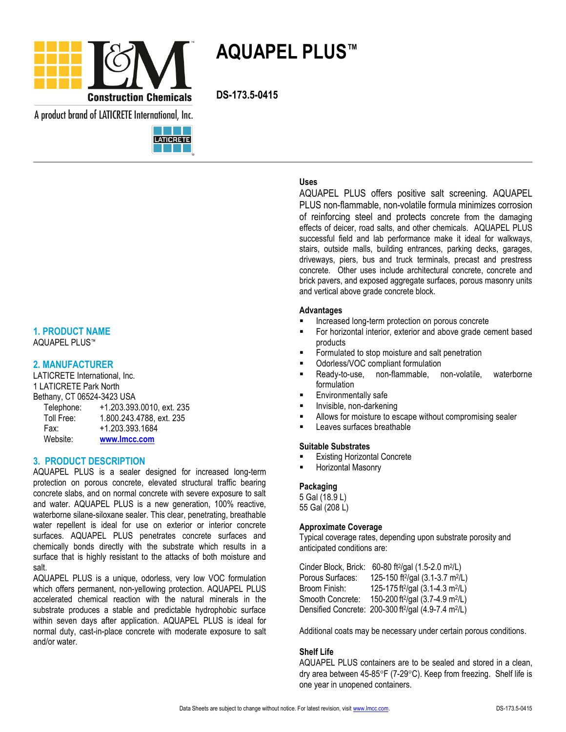

**AQUAPEL PLUS™**

A product brand of LATICRETE International, Inc.



#### **1. PRODUCT NAME** AQUAPEL PLUS™

#### **2. MANUFACTURER**

LATICRETE International, Inc. 1 LATICRETE Park North Bethany, CT 06524-3423 USA Telephone: +1.203.393.0010, ext. 235 Toll Free: 1.800.243.4788, ext. 235

 Fax: +1.203.393.1684 Website: **[www.lmcc.com](http://www.lmcc.com/)**

### **3. PRODUCT DESCRIPTION**

AQUAPEL PLUS is a sealer designed for increased long-term protection on porous concrete, elevated structural traffic bearing concrete slabs, and on normal concrete with severe exposure to salt and water. AQUAPEL PLUS is a new generation, 100% reactive, waterborne silane-siloxane sealer. This clear, penetrating, breathable water repellent is ideal for use on exterior or interior concrete surfaces. AQUAPEL PLUS penetrates concrete surfaces and chemically bonds directly with the substrate which results in a surface that is highly resistant to the attacks of both moisture and salt.

AQUAPEL PLUS is a unique, odorless, very low VOC formulation which offers permanent, non-yellowing protection. AQUAPEL PLUS accelerated chemical reaction with the natural minerals in the substrate produces a stable and predictable hydrophobic surface within seven days after application. AQUAPEL PLUS is ideal for normal duty, cast-in-place concrete with moderate exposure to salt and/or water.

## **Uses**

AQUAPEL PLUS offers positive salt screening. AQUAPEL PLUS non-flammable, non-volatile formula minimizes corrosion of reinforcing steel and protects concrete from the damaging effects of deicer, road salts, and other chemicals. AQUAPEL PLUS successful field and lab performance make it ideal for walkways, stairs, outside malls, building entrances, parking decks, garages, driveways, piers, bus and truck terminals, precast and prestress concrete. Other uses include architectural concrete, concrete and brick pavers, and exposed aggregate surfaces, porous masonry units and vertical above grade concrete block.

#### **Advantages**

- Increased long-term protection on porous concrete
- For horizontal interior, exterior and above grade cement based products
- Formulated to stop moisture and salt penetration
- Odorless/VOC compliant formulation
- Ready-to-use, non-flammable, non-volatile, waterborne formulation
- Environmentally safe
- Invisible, non-darkening
- Allows for moisture to escape without compromising sealer
- Leaves surfaces breathable

#### **Suitable Substrates**

- Existing Horizontal Concrete
- Horizontal Masonry

### **Packaging**

5 Gal (18.9 L) 55 Gal (208 L)

#### **Approximate Coverage**

Typical coverage rates, depending upon substrate porosity and anticipated conditions are:

Cinder Block, Brick: 60-80 ft<sup>2</sup> /gal (1.5-2.0 m<sup>2</sup> /L) Porous Surfaces: /gal (3.1-3.7 m<sup>2</sup>/L) Broom Finish: /gal (3.1-4.3 m<sup>2</sup>/L) Smooth Concrete: 150-200 ft<sup>2</sup>/gal (3.7-4.9 m<sup>2</sup>/L) Densified Concrete: 200-300 ft<sup>2</sup>/gal (4.9-7.4 m<sup>2</sup>/L)

Additional coats may be necessary under certain porous conditions.

### **Shelf Life**

AQUAPEL PLUS containers are to be sealed and stored in a clean, dry area between  $45-85^{\circ}F$  (7-29 $^{\circ}C$ ). Keep from freezing. Shelf life is one year in unopened containers.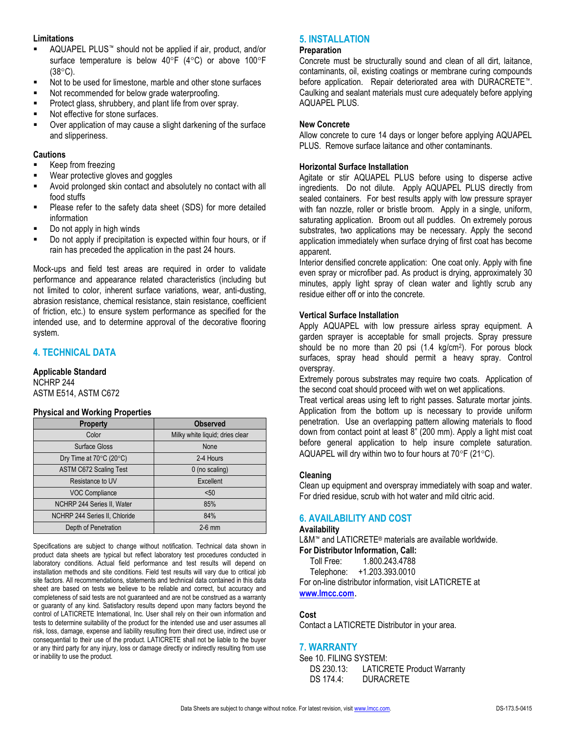### **Limitations**

- AQUAPEL PLUS™ should not be applied if air, product, and/or surface temperature is below 40°F (4°C) or above 100°F  $(38^{\circ}C)$ .
- Not to be used for limestone, marble and other stone surfaces
- Not recommended for below grade waterproofing.
- **Protect glass, shrubbery, and plant life from over spray.**
- **Not effective for stone surfaces.**
- Over application of may cause a slight darkening of the surface and slipperiness.

### **Cautions**

- Keep from freezing
- Wear protective gloves and goggles
- Avoid prolonged skin contact and absolutely no contact with all food stuffs
- Please refer to the safety data sheet (SDS) for more detailed information
- Do not apply in high winds
- Do not apply if precipitation is expected within four hours, or if rain has preceded the application in the past 24 hours.

Mock-ups and field test areas are required in order to validate performance and appearance related characteristics (including but not limited to color, inherent surface variations, wear, anti-dusting, abrasion resistance, chemical resistance, stain resistance, coefficient of friction, etc.) to ensure system performance as specified for the intended use, and to determine approval of the decorative flooring system.

# **4. TECHNICAL DATA**

## **Applicable Standard**

NCHRP 244 ASTM E514, ASTM C672

### **Physical and Working Properties**

| $\frac{1}{2}$ in the contract of $\frac{1}{2}$ in the contract of $\frac{1}{2}$ |                                 |
|---------------------------------------------------------------------------------|---------------------------------|
| <b>Property</b>                                                                 | <b>Observed</b>                 |
| Color                                                                           | Milky white liquid; dries clear |
| Surface Gloss                                                                   | None                            |
| Dry Time at $70^{\circ}$ C (20 $^{\circ}$ C)                                    | 2-4 Hours                       |
| <b>ASTM C672 Scaling Test</b>                                                   | 0 (no scaling)                  |
| Resistance to UV                                                                | Excellent                       |
| <b>VOC Compliance</b>                                                           | $50$                            |
| NCHRP 244 Series II, Water                                                      | 85%                             |
| NCHRP 244 Series II, Chloride                                                   | 84%                             |
| Depth of Penetration                                                            | $2-6$ mm                        |

Specifications are subject to change without notification. Technical data shown in product data sheets are typical but reflect laboratory test procedures conducted in laboratory conditions. Actual field performance and test results will depend on installation methods and site conditions. Field test results will vary due to critical job site factors. All recommendations, statements and technical data contained in this data sheet are based on tests we believe to be reliable and correct, but accuracy and completeness of said tests are not guaranteed and are not be construed as a warranty or guaranty of any kind. Satisfactory results depend upon many factors beyond the control of LATICRETE International, Inc. User shall rely on their own information and tests to determine suitability of the product for the intended use and user assumes all risk, loss, damage, expense and liability resulting from their direct use, indirect use or consequential to their use of the product. LATICRETE shall not be liable to the buyer or any third party for any injury, loss or damage directly or indirectly resulting from use or inability to use the product.

## **5. INSTALLATION**

#### **Preparation**

Concrete must be structurally sound and clean of all dirt, laitance, contaminants, oil, existing coatings or membrane curing compounds before application. Repair deteriorated area with DURACRETE™. Caulking and sealant materials must cure adequately before applying AQUAPEL PLUS.

### **New Concrete**

Allow concrete to cure 14 days or longer before applying AQUAPEL PLUS. Remove surface laitance and other contaminants.

### **Horizontal Surface Installation**

Agitate or stir AQUAPEL PLUS before using to disperse active ingredients. Do not dilute. Apply AQUAPEL PLUS directly from sealed containers. For best results apply with low pressure sprayer with fan nozzle, roller or bristle broom. Apply in a single, uniform, saturating application. Broom out all puddles. On extremely porous substrates, two applications may be necessary. Apply the second application immediately when surface drying of first coat has become apparent.

Interior densified concrete application: One coat only. Apply with fine even spray or microfiber pad. As product is drying, approximately 30 minutes, apply light spray of clean water and lightly scrub any residue either off or into the concrete.

### **Vertical Surface Installation**

Apply AQUAPEL with low pressure airless spray equipment. A garden sprayer is acceptable for small projects. Spray pressure should be no more than 20 psi (1.4 kg/cm<sup>2</sup> ). For porous block surfaces, spray head should permit a heavy spray. Control overspray.

Extremely porous substrates may require two coats. Application of the second coat should proceed with wet on wet applications.

Treat vertical areas using left to right passes. Saturate mortar joints. Application from the bottom up is necessary to provide uniform penetration. Use an overlapping pattern allowing materials to flood down from contact point at least 8" (200 mm). Apply a light mist coat before general application to help insure complete saturation. AQUAPEL will dry within two to four hours at  $70^{\circ}$ F (21 $^{\circ}$ C).

### **Cleaning**

Clean up equipment and overspray immediately with soap and water. For dried residue, scrub with hot water and mild citric acid.

# **6. AVAILABILITY AND COST**

### **Availability**

L&M™ and LATICRETE® materials are available worldwide.

# **For Distributor Information, Call:**

Toll Free: 1.800.243.4788

Telephone: +1.203.393.0010

For on-line distributor information, visit LATICRETE at **[www.lmcc.com](http://www.lmcc.com/)**.

## **Cost**

Contact a LATICRETE Distributor in your area.

## **7. WARRANTY**

See 10. FILING SYSTEM: DS 230.13: LATICRETE Product Warranty DS 174.4: DURACRETE